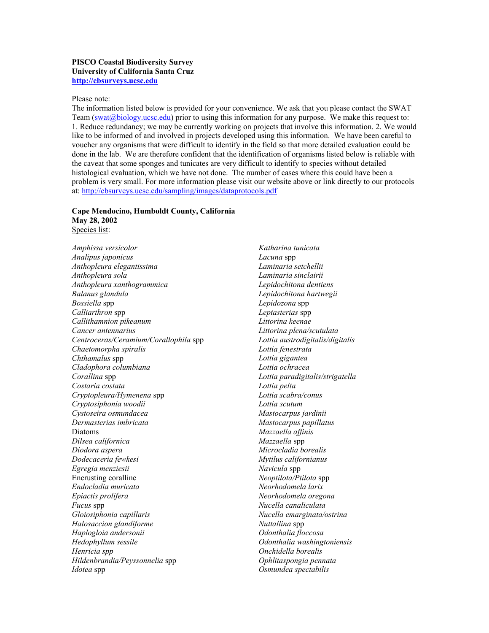## **PISCO Coastal Biodiversity Survey University of California Santa Cruz [http://cbsurveys.ucsc.edu](http://cbsurveys.ucsc.edu/)**

## Please note:

The information listed below is provided for your convenience. We ask that you please contact the SWAT Team ([swat@biology.ucsc.edu\)](mailto:swat@biology.ucsc.edu) prior to using this information for any purpose. We make this request to: 1. Reduce redundancy; we may be currently working on projects that involve this information. 2. We would like to be informed of and involved in projects developed using this information. We have been careful to voucher any organisms that were difficult to identify in the field so that more detailed evaluation could be done in the lab. We are therefore confident that the identification of organisms listed below is reliable with the caveat that some sponges and tunicates are very difficult to identify to species without detailed histological evaluation, which we have not done. The number of cases where this could have been a problem is very small. For more information please visit our website above or link directly to our protocols at: [http://cbsurveys.ucsc.edu/sampling/images/dataprotocols.pdf](http://cbsurveys.ucsc.edu/sampling/images/dataprotocols10_2004.pdf)

## **Cape Mendocino, Humboldt County, California May 28, 2002**

Species list: *Amphissa versicolor* 

*Analipus japonicus Anthopleura elegantissima Anthopleura sola Anthopleura xanthogrammica Balanus glandula Bossiella* spp *Calliarthron* spp *Callithamnion pikeanum Cancer antennarius Centroceras/Ceramium/Corallophila* spp *Chaetomorpha spiralis Chthamalus* spp *Cladophora columbiana Corallina* spp *Costaria costata Cryptopleura/Hymenena* spp *Cryptosiphonia woodii Cystoseira osmundacea Dermasterias imbricata*  Diatoms *Dilsea californica Diodora aspera Dodecaceria fewkesi Egregia menziesii*  Encrusting coralline *Endocladia muricata Epiactis prolifera Fucus* spp *Gloiosiphonia capillaris Halosaccion glandiforme Haplogloia andersonii Hedophyllum sessile Henricia spp Hildenbrandia/Peyssonnelia* spp *Idotea* spp

*Katharina tunicata Lacuna* spp *Laminaria setchellii Laminaria sinclairii Lepidochitona dentiens Lepidochitona hartwegii Lepidozona* spp *Leptasterias* spp *Littorina keenae Littorina plena/scutulata Lottia austrodigitalis/digitalis Lottia fenestrata Lottia gigantea Lottia ochracea Lottia paradigitalis/strigatella Lottia pelta Lottia scabra/conus Lottia scutum Mastocarpus jardinii Mastocarpus papillatus Mazzaella affinis Mazzaella* spp *Microcladia borealis Mytilus californianus Navicula* spp *Neoptilota/Ptilota* spp *Neorhodomela larix Neorhodomela oregona Nucella canaliculata Nucella emarginata/ostrina Nuttallina* spp *Odonthalia floccosa Odonthalia washingtoniensis Onchidella borealis Ophlitaspongia pennata Osmundea spectabilis*